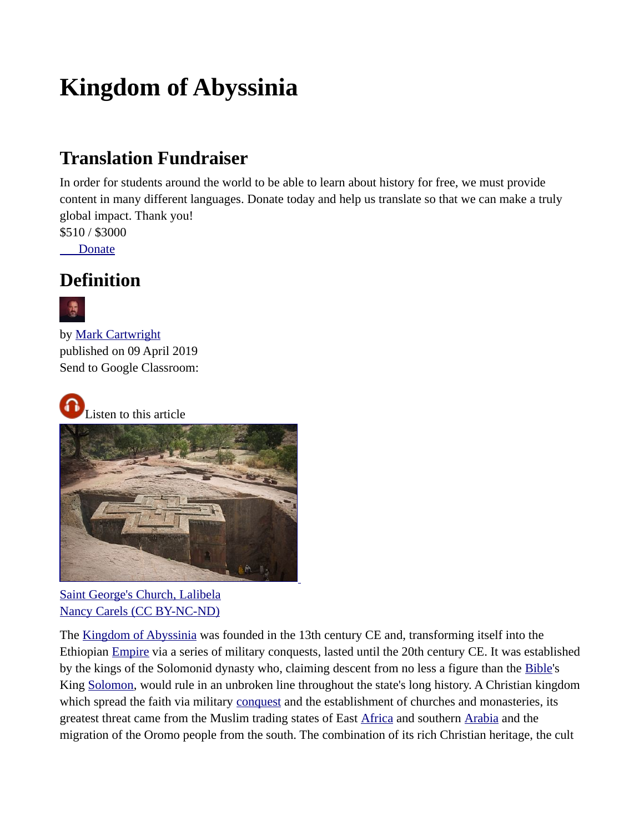# **Kingdom of Abyssinia**

# **Translation Fundraiser**

In order for students around the world to be able to learn about history for free, we must provide content in many different languages. Donate today and help us translate so that we can make a truly global impact. Thank you!

\$510 / \$3000

 [Donate](https://www.worldhistory.org/donate/translation/?ui_lang=en)

### **Definition**



by [Mark Cartwright](https://www.worldhistory.org/user/markzcartwright/) published on 09 April 2019 Send to Google Classroom:



Listen to this article



[Saint George's Church, Lalibela](https://www.worldhistory.org/image/10438/saint-georges-church-lalibela/) [Nancy Carels \(CC BY-NC-ND\)](https://www.worldhistory.org/image/10438/saint-georges-church-lalibela/)

The [Kingdom of Abyssinia](https://www.worldhistory.org/Kingdom_of_Abyssinia/) was founded in the 13th century CE and, transforming itself into the Ethiopian [Empire](https://www.worldhistory.org/empire/) via a series of military conquests, lasted until the 20th century CE. It was established by the kings of the Solomonid dynasty who, claiming descent from no less a figure than the [Bible](https://www.worldhistory.org/bible/)'s King [Solomon](https://www.worldhistory.org/solomon/), would rule in an unbroken line throughout the state's long history. A Christian kingdom which spread the faith via military [conquest](https://www.worldhistory.org/warfare/) and the establishment of churches and monasteries, its greatest threat came from the Muslim trading states of East [Africa](https://www.worldhistory.org/disambiguation/africa/) and southern [Arabia](https://www.worldhistory.org/Arabia/) and the migration of the Oromo people from the south. The combination of its rich Christian heritage, the cult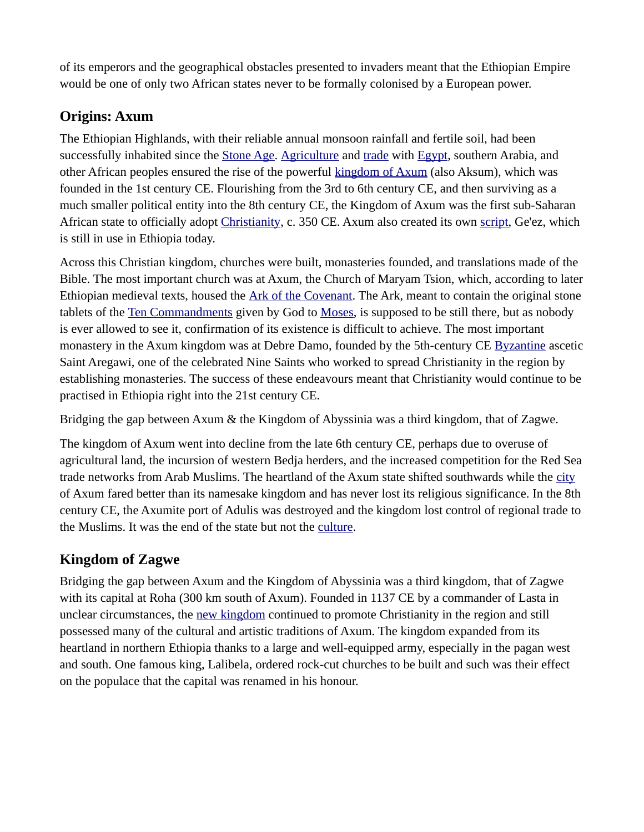of its emperors and the geographical obstacles presented to invaders meant that the Ethiopian Empire would be one of only two African states never to be formally colonised by a European power.

#### **Origins: Axum**

The Ethiopian Highlands, with their reliable annual monsoon rainfall and fertile soil, had been successfully inhabited since the [Stone Age](https://www.worldhistory.org/Stone_Age/). [Agriculture](https://www.worldhistory.org/disambiguation/Agriculture/) and [trade](https://www.worldhistory.org/disambiguation/trade/) with [Egypt,](https://www.worldhistory.org/egypt/) southern Arabia, and other African peoples ensured the rise of the powerful [kingdom of Axum](https://www.worldhistory.org/Kingdom_of_Axum/) (also Aksum), which was founded in the 1st century CE. Flourishing from the 3rd to 6th century CE, and then surviving as a much smaller political entity into the 8th century CE, the Kingdom of Axum was the first sub-Saharan African state to officially adopt [Christianity,](https://www.worldhistory.org/christianity/) c. 350 CE. Axum also created its own [script](https://www.worldhistory.org/script/), Ge'ez, which is still in use in Ethiopia today.

Across this Christian kingdom, churches were built, monasteries founded, and translations made of the Bible. The most important church was at Axum, the Church of Maryam Tsion, which, according to later Ethiopian medieval texts, housed the [Ark of the Covenant](https://www.worldhistory.org/Ark_of_the_Covenant/). The Ark, meant to contain the original stone tablets of the [Ten Commandments](https://www.worldhistory.org/Ten_Commandments/) given by God to [Moses](https://www.worldhistory.org/Moses/), is supposed to be still there, but as nobody is ever allowed to see it, confirmation of its existence is difficult to achieve. The most important monastery in the Axum kingdom was at Debre Damo, founded by the 5th-century CE [Byzantine](https://www.worldhistory.org/disambiguation/Byzantine/) ascetic Saint Aregawi, one of the celebrated Nine Saints who worked to spread Christianity in the region by establishing monasteries. The success of these endeavours meant that Christianity would continue to be practised in Ethiopia right into the 21st century CE.

Bridging the gap between Axum & the Kingdom of Abyssinia was a third kingdom, that of Zagwe.

The kingdom of Axum went into decline from the late 6th century CE, perhaps due to overuse of agricultural land, the incursion of western Bedja herders, and the increased competition for the Red Sea trade networks from Arab Muslims. The heartland of the Axum state shifted southwards while the [city](https://www.worldhistory.org/city/) of Axum fared better than its namesake kingdom and has never lost its religious significance. In the 8th century CE, the Axumite port of Adulis was destroyed and the kingdom lost control of regional trade to the Muslims. It was the end of the state but not the [culture.](https://www.worldhistory.org/disambiguation/culture/)

#### **Kingdom of Zagwe**

Bridging the gap between Axum and the Kingdom of Abyssinia was a third kingdom, that of Zagwe with its capital at Roha (300 km south of Axum). Founded in 1137 CE by a commander of Lasta in unclear circumstances, the [new kingdom](https://www.worldhistory.org/disambiguation/New_Kingdom/) continued to promote Christianity in the region and still possessed many of the cultural and artistic traditions of Axum. The kingdom expanded from its heartland in northern Ethiopia thanks to a large and well-equipped army, especially in the pagan west and south. One famous king, Lalibela, ordered rock-cut churches to be built and such was their effect on the populace that the capital was renamed in his honour.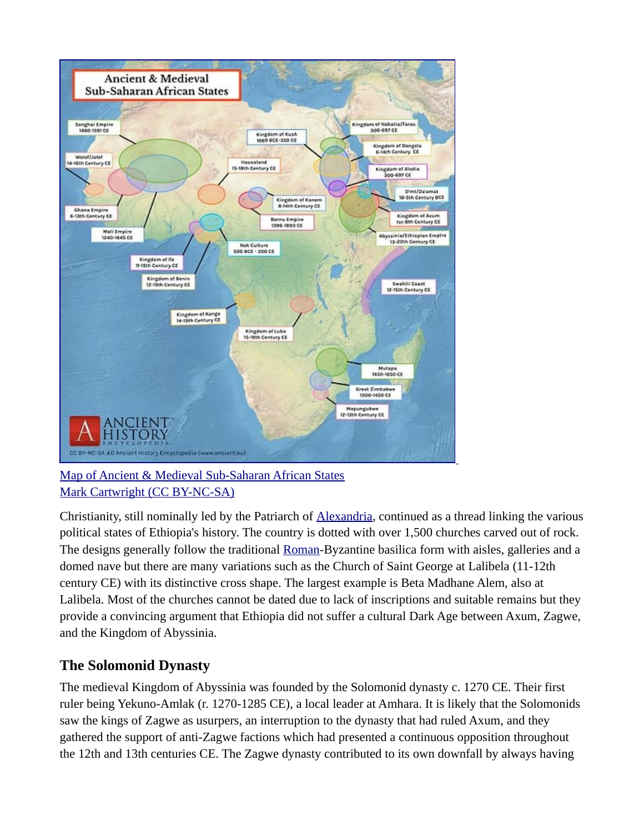

[Map of Ancient & Medieval Sub-Saharan African States](https://www.worldhistory.org/image/10453/map-of-ancient--medieval-sub-saharan-african-state/) [Mark Cartwright \(CC BY-NC-SA\)](https://www.worldhistory.org/image/10453/map-of-ancient--medieval-sub-saharan-african-state/)

Christianity, still nominally led by the Patriarch of [Alexandria](https://www.worldhistory.org/alexandria/), continued as a thread linking the various political states of Ethiopia's history. The country is dotted with over 1,500 churches carved out of rock. The designs generally follow the traditional [Roman](https://www.worldhistory.org/disambiguation/Roman/)-Byzantine basilica form with aisles, galleries and a domed nave but there are many variations such as the Church of Saint George at Lalibela (11-12th century CE) with its distinctive cross shape. The largest example is Beta Madhane Alem, also at Lalibela. Most of the churches cannot be dated due to lack of inscriptions and suitable remains but they provide a convincing argument that Ethiopia did not suffer a cultural Dark Age between Axum, Zagwe, and the Kingdom of Abyssinia.

#### **The Solomonid Dynasty**

The medieval Kingdom of Abyssinia was founded by the Solomonid dynasty c. 1270 CE. Their first ruler being Yekuno-Amlak (r. 1270-1285 CE), a local leader at Amhara. It is likely that the Solomonids saw the kings of Zagwe as usurpers, an interruption to the dynasty that had ruled Axum, and they gathered the support of anti-Zagwe factions which had presented a continuous opposition throughout the 12th and 13th centuries CE. The Zagwe dynasty contributed to its own downfall by always having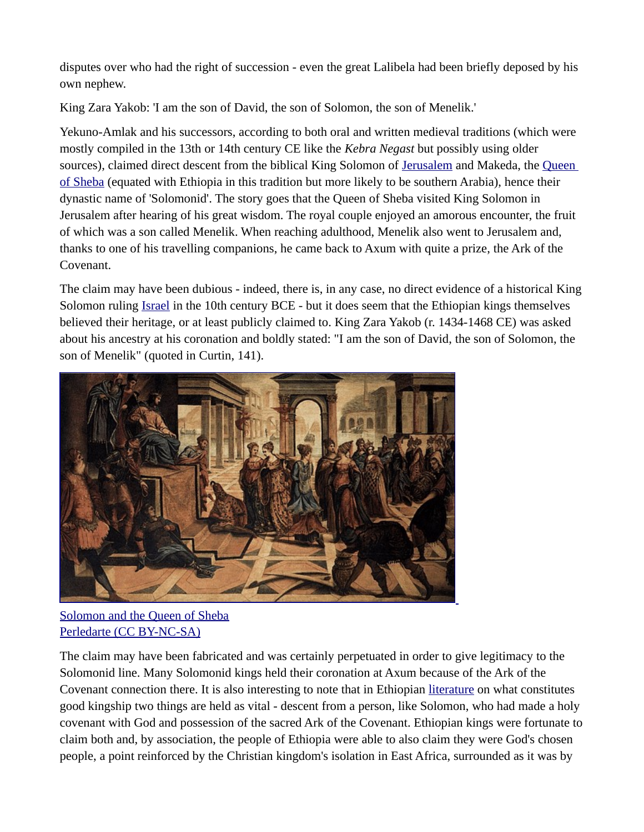disputes over who had the right of succession - even the great Lalibela had been briefly deposed by his own nephew.

King Zara Yakob: 'I am the son of David, the son of Solomon, the son of Menelik.'

Yekuno-Amlak and his successors, according to both oral and written medieval traditions (which were mostly compiled in the 13th or 14th century CE like the *Kebra Negast* but possibly using older sources), claimed direct descent from the biblical King Solomon of [Jerusalem](https://www.worldhistory.org/jerusalem/) and Makeda, the [Queen](https://www.worldhistory.org/Queen_of_Sheba/)  [of Sheba](https://www.worldhistory.org/Queen_of_Sheba/) (equated with Ethiopia in this tradition but more likely to be southern Arabia), hence their dynastic name of 'Solomonid'. The story goes that the Queen of Sheba visited King Solomon in Jerusalem after hearing of his great wisdom. The royal couple enjoyed an amorous encounter, the fruit of which was a son called Menelik. When reaching adulthood, Menelik also went to Jerusalem and, thanks to one of his travelling companions, he came back to Axum with quite a prize, the Ark of the Covenant.

The claim may have been dubious - indeed, there is, in any case, no direct evidence of a historical King Solomon ruling [Israel](https://www.worldhistory.org/israel/) in the 10th century BCE - but it does seem that the Ethiopian kings themselves believed their heritage, or at least publicly claimed to. King Zara Yakob (r. 1434-1468 CE) was asked about his ancestry at his coronation and boldly stated: "I am the son of David, the son of Solomon, the son of Menelik" (quoted in Curtin, 141).



[Solomon and the Queen of Sheba](https://www.worldhistory.org/image/8469/solomon-and-the-queen-of-sheba/) [Perledarte \(CC BY-NC-SA\)](https://www.worldhistory.org/image/8469/solomon-and-the-queen-of-sheba/)

The claim may have been fabricated and was certainly perpetuated in order to give legitimacy to the Solomonid line. Many Solomonid kings held their coronation at Axum because of the Ark of the Covenant connection there. It is also interesting to note that in Ethiopian [literature](https://www.worldhistory.org/literature/) on what constitutes good kingship two things are held as vital - descent from a person, like Solomon, who had made a holy covenant with God and possession of the sacred Ark of the Covenant. Ethiopian kings were fortunate to claim both and, by association, the people of Ethiopia were able to also claim they were God's chosen people, a point reinforced by the Christian kingdom's isolation in East Africa, surrounded as it was by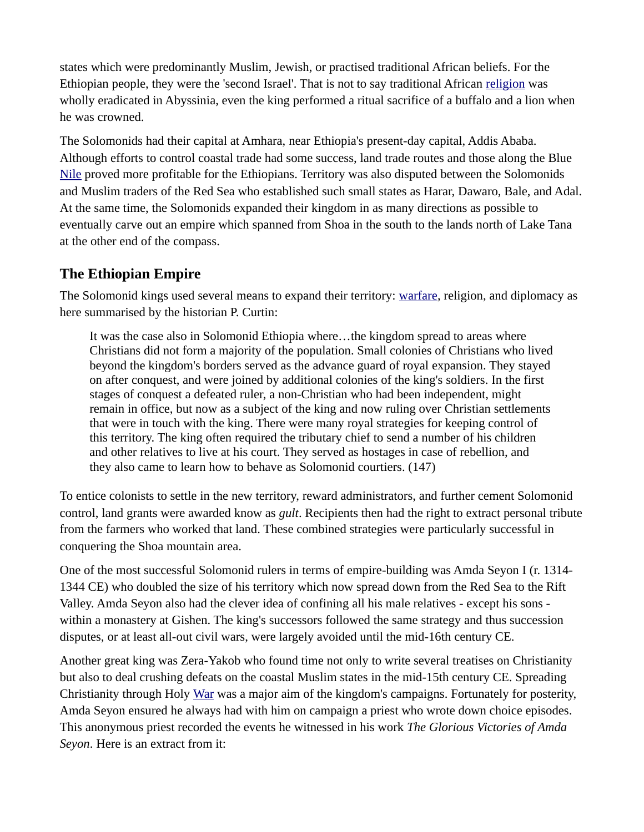states which were predominantly Muslim, Jewish, or practised traditional African beliefs. For the Ethiopian people, they were the 'second Israel'. That is not to say traditional African [religion](https://www.worldhistory.org/religion/) was wholly eradicated in Abyssinia, even the king performed a ritual sacrifice of a buffalo and a lion when he was crowned.

The Solomonids had their capital at Amhara, near Ethiopia's present-day capital, Addis Ababa. Although efforts to control coastal trade had some success, land trade routes and those along the Blue [Nile](https://www.worldhistory.org/nile/) proved more profitable for the Ethiopians. Territory was also disputed between the Solomonids and Muslim traders of the Red Sea who established such small states as Harar, Dawaro, Bale, and Adal. At the same time, the Solomonids expanded their kingdom in as many directions as possible to eventually carve out an empire which spanned from Shoa in the south to the lands north of Lake Tana at the other end of the compass.

#### **The Ethiopian Empire**

The Solomonid kings used several means to expand their territory: [warfare](https://www.worldhistory.org/warfare/), religion, and diplomacy as here summarised by the historian P. Curtin:

It was the case also in Solomonid Ethiopia where…the kingdom spread to areas where Christians did not form a majority of the population. Small colonies of Christians who lived beyond the kingdom's borders served as the advance guard of royal expansion. They stayed on after conquest, and were joined by additional colonies of the king's soldiers. In the first stages of conquest a defeated ruler, a non-Christian who had been independent, might remain in office, but now as a subject of the king and now ruling over Christian settlements that were in touch with the king. There were many royal strategies for keeping control of this territory. The king often required the tributary chief to send a number of his children and other relatives to live at his court. They served as hostages in case of rebellion, and they also came to learn how to behave as Solomonid courtiers. (147)

To entice colonists to settle in the new territory, reward administrators, and further cement Solomonid control, land grants were awarded know as *gult*. Recipients then had the right to extract personal tribute from the farmers who worked that land. These combined strategies were particularly successful in conquering the Shoa mountain area.

One of the most successful Solomonid rulers in terms of empire-building was Amda Seyon I (r. 1314- 1344 CE) who doubled the size of his territory which now spread down from the Red Sea to the Rift Valley. Amda Seyon also had the clever idea of confining all his male relatives - except his sons within a monastery at Gishen. The king's successors followed the same strategy and thus succession disputes, or at least all-out civil wars, were largely avoided until the mid-16th century CE.

Another great king was Zera-Yakob who found time not only to write several treatises on Christianity but also to deal crushing defeats on the coastal Muslim states in the mid-15th century CE. Spreading Christianity through Holy [War](https://www.worldhistory.org/war/) was a major aim of the kingdom's campaigns. Fortunately for posterity, Amda Seyon ensured he always had with him on campaign a priest who wrote down choice episodes. This anonymous priest recorded the events he witnessed in his work *The Glorious Victories of Amda Seyon*. Here is an extract from it: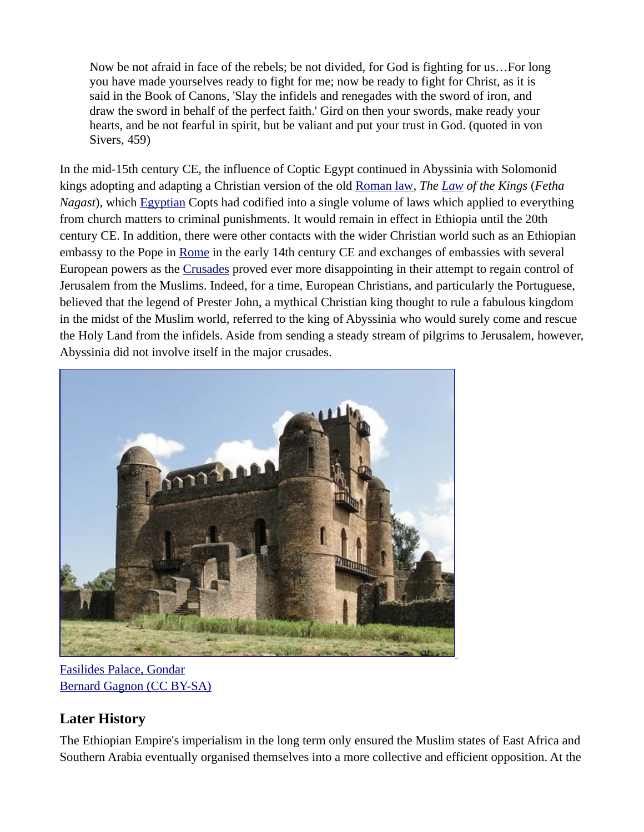Now be not afraid in face of the rebels; be not divided, for God is fighting for us…For long you have made yourselves ready to fight for me; now be ready to fight for Christ, as it is said in the Book of Canons, 'Slay the infidels and renegades with the sword of iron, and draw the sword in behalf of the perfect faith.' Gird on then your swords, make ready your hearts, and be not fearful in spirit, but be valiant and put your trust in God. (quoted in von Sivers, 459)

In the mid-15th century CE, the influence of Coptic Egypt continued in Abyssinia with Solomonid kings adopting and adapting a Christian version of the old [Roman law](https://www.worldhistory.org/Roman_Law/), *The [Law](https://www.worldhistory.org/disambiguation/law/) of the Kings* (*Fetha Nagast*), which [Egyptian](https://www.worldhistory.org/disambiguation/Egyptian/) Copts had codified into a single volume of laws which applied to everything from church matters to criminal punishments. It would remain in effect in Ethiopia until the 20th century CE. In addition, there were other contacts with the wider Christian world such as an Ethiopian embassy to the Pope in [Rome](https://www.worldhistory.org/Rome/) in the early 14th century CE and exchanges of embassies with several European powers as the [Crusades](https://www.worldhistory.org/Crusades/) proved ever more disappointing in their attempt to regain control of Jerusalem from the Muslims. Indeed, for a time, European Christians, and particularly the Portuguese, believed that the legend of Prester John, a mythical Christian king thought to rule a fabulous kingdom in the midst of the Muslim world, referred to the king of Abyssinia who would surely come and rescue the Holy Land from the infidels. Aside from sending a steady stream of pilgrims to Jerusalem, however, Abyssinia did not involve itself in the major crusades.



[Fasilides Palace, Gondar](https://www.worldhistory.org/image/10437/fasilides-palace-gondar/) [Bernard Gagnon \(CC BY-SA\)](https://www.worldhistory.org/image/10437/fasilides-palace-gondar/)

#### **Later History**

The Ethiopian Empire's imperialism in the long term only ensured the Muslim states of East Africa and Southern Arabia eventually organised themselves into a more collective and efficient opposition. At the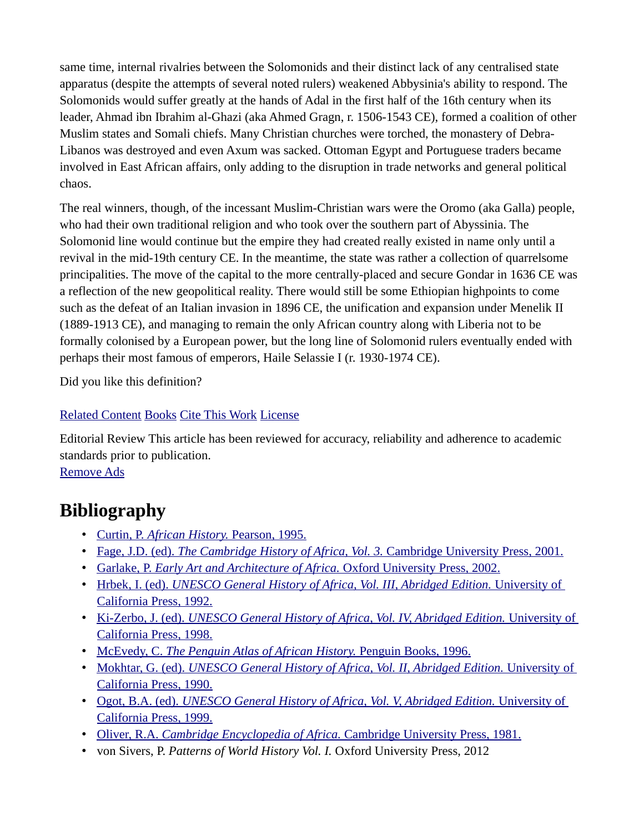same time, internal rivalries between the Solomonids and their distinct lack of any centralised state apparatus (despite the attempts of several noted rulers) weakened Abbysinia's ability to respond. The Solomonids would suffer greatly at the hands of Adal in the first half of the 16th century when its leader, Ahmad ibn Ibrahim al-Ghazi (aka Ahmed Gragn, r. 1506-1543 CE), formed a coalition of other Muslim states and Somali chiefs. Many Christian churches were torched, the monastery of Debra-Libanos was destroyed and even Axum was sacked. Ottoman Egypt and Portuguese traders became involved in East African affairs, only adding to the disruption in trade networks and general political chaos.

The real winners, though, of the incessant Muslim-Christian wars were the Oromo (aka Galla) people, who had their own traditional religion and who took over the southern part of Abyssinia. The Solomonid line would continue but the empire they had created really existed in name only until a revival in the mid-19th century CE. In the meantime, the state was rather a collection of quarrelsome principalities. The move of the capital to the more centrally-placed and secure Gondar in 1636 CE was a reflection of the new geopolitical reality. There would still be some Ethiopian highpoints to come such as the defeat of an Italian invasion in 1896 CE, the unification and expansion under Menelik II (1889-1913 CE), and managing to remain the only African country along with Liberia not to be formally colonised by a European power, but the long line of Solomonid rulers eventually ended with perhaps their most famous of emperors, Haile Selassie I (r. 1930-1974 CE).

Did you like this definition?

#### [Related Content](https://www.worldhistory.org/Kingdom_of_Abyssinia/#ci_related_content_outer_wrapper) [Books](https://www.worldhistory.org/Kingdom_of_Abyssinia/#books_preview) [Cite This Work](https://www.worldhistory.org/Kingdom_of_Abyssinia/#citation_info) [License](https://www.worldhistory.org/Kingdom_of_Abyssinia/#ci_author_and_copyright)

Editorial Review This article has been reviewed for accuracy, reliability and adherence to academic standards prior to publication.

[Remove Ads](https://www.worldhistory.org/membership/?utm_source=ahe&utm_medium=remove-ads-button&utm_campaign=membership)

### **Bibliography**

- Curtin, P. *[African History.](https://www.worldhistory.org/books/0582050707/)* Pearson, 1995.
- Fage, J.D. (ed). *[The Cambridge History of Africa, Vol. 3.](https://www.worldhistory.org/books/0521209811/)* Cambridge University Press, 2001.
- Garlake, P. *[Early Art and Architecture of Africa.](https://www.worldhistory.org/books/0192842617/)* Oxford University Press, 2002.
- Hrbek, I. (ed). *[UNESCO General History of Africa, Vol. III, Abridged Edition.](https://www.worldhistory.org/books/0520066987/)* University of [California Press, 1992.](https://www.worldhistory.org/books/0520066987/)
- Ki-Zerbo, J. (ed). *[UNESCO General History of Africa, Vol. IV, Abridged Edition.](https://www.worldhistory.org/books/0520066995/)* University of [California Press, 1998.](https://www.worldhistory.org/books/0520066995/)
- McEvedy, C. *[The Penguin Atlas of African History.](https://www.worldhistory.org/books/0140513213/)* Penguin Books, 1996.
- Mokhtar, G. (ed). *[UNESCO General History of Africa, Vol. II, Abridged Edition.](https://www.worldhistory.org/books/0520066979/)* University of [California Press, 1990.](https://www.worldhistory.org/books/0520066979/)
- Ogot, B.A. (ed). *[UNESCO General History of Africa, Vol. V, Abridged Edition.](https://www.worldhistory.org/books/0520067002/)* University of [California Press, 1999.](https://www.worldhistory.org/books/0520067002/)
- Oliver, R.A. *Cambridge Encyclopedia of Africa.* [Cambridge University Press, 1981.](https://www.worldhistory.org/books/0521230969/)
- von Sivers, P. *Patterns of World History Vol. I.* Oxford University Press, 2012